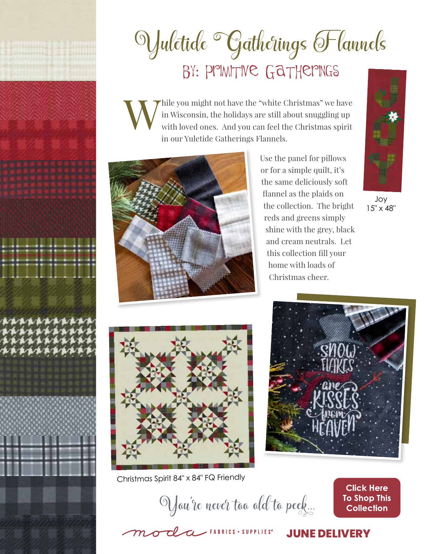

# Vuletide <sup>·</sup> Gatherings Flannels BY: PMMTIVE GATHEMINGS

Thile you might not have the "white Christmas" we have in Wisconsin, the holidays are still about snuggling up with loved ones. And you can feel the Christmas spirit in our Yuletide Gatherings Flannels.



Use the panel for pillows or for a simple quilt, it's the same deliciously soft flannel as the plaids on the collection. The bright reds and greens simply shine with the grey, black and cream neutrals. Let this collection fill your home with loads of Christmas cheer.



Joy 15" x 48"



Christmas Spirit 84" x 84" FQ Friendly



Vau're never too ald to peek...

**Click Here To Shop This Collection** 

ocla FABRICS + SUPPLIES

#### **JUNE DELIVERY**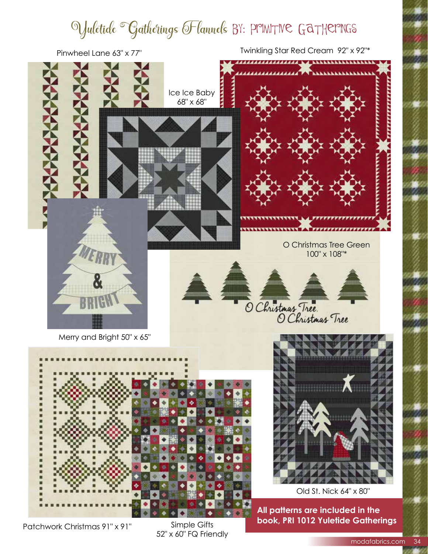### Vulctide <sup>·</sup>Gatherings Flannels BY: PPIMITIVE GATHEPINGS



Patchwork Christmas 91" x 91"

Simple Gifts 52" x 60" FQ Friendly **book, PRI 1012 Yuletide Gatherings**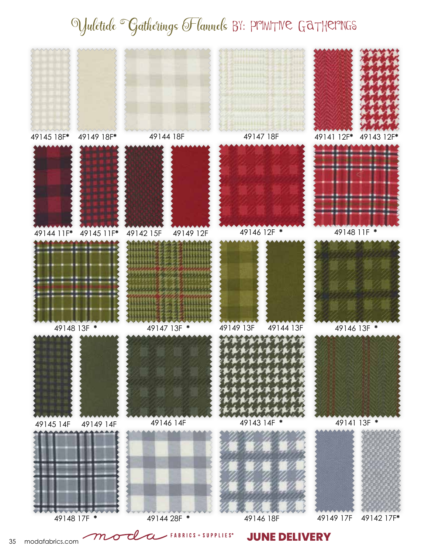## Vulctide <sup>o</sup>Gatherings Flannels BY: PPINITIVE GATHEPINGS